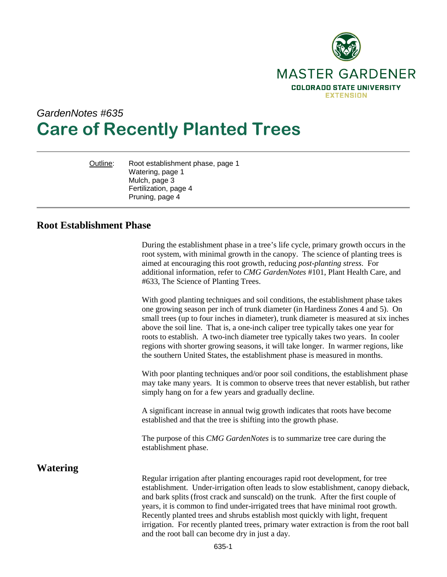

# *GardenNotes #635* **Care of Recently Planted Trees**

Outline: Root establishment phase, page 1 Watering, page 1 Mulch, page 3 Fertilization, page 4 Pruning, page 4

## **Root Establishment Phase**

During the establishment phase in a tree's life cycle, primary growth occurs in the root system, with minimal growth in the canopy. The science of planting trees is aimed at encouraging this root growth, reducing *post-planting stress*. For additional information, refer to *CMG GardenNotes* #101, Plant Health Care, and #633, The Science of Planting Trees.

With good planting techniques and soil conditions, the establishment phase takes one growing season per inch of trunk diameter (in Hardiness Zones 4 and 5). On small trees (up to four inches in diameter), trunk diameter is measured at six inches above the soil line. That is, a one-inch caliper tree typically takes one year for roots to establish. A two-inch diameter tree typically takes two years. In cooler regions with shorter growing seasons, it will take longer. In warmer regions, like the southern United States, the establishment phase is measured in months.

With poor planting techniques and/or poor soil conditions, the establishment phase may take many years. It is common to observe trees that never establish, but rather simply hang on for a few years and gradually decline.

A significant increase in annual twig growth indicates that roots have become established and that the tree is shifting into the growth phase.

The purpose of this *CMG GardenNotes* is to summarize tree care during the establishment phase.

## **Watering**

Regular irrigation after planting encourages rapid root development, for tree establishment. Under-irrigation often leads to slow establishment, canopy dieback, and bark splits (frost crack and sunscald) on the trunk. After the first couple of years, it is common to find under-irrigated trees that have minimal root growth. Recently planted trees and shrubs establish most quickly with light, frequent irrigation. For recently planted trees, primary water extraction is from the root ball and the root ball can become dry in just a day.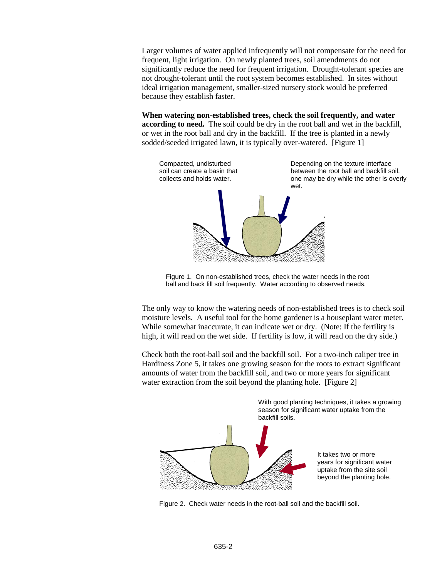Larger volumes of water applied infrequently will not compensate for the need for frequent, light irrigation. On newly planted trees, soil amendments do not significantly reduce the need for frequent irrigation. Drought-tolerant species are not drought-tolerant until the root system becomes established. In sites without ideal irrigation management, smaller-sized nursery stock would be preferred because they establish faster.

**When watering non-established trees, check the soil frequently, and water according to need.** The soil could be dry in the root ball and wet in the backfill, or wet in the root ball and dry in the backfill. If the tree is planted in a newly sodded/seeded irrigated lawn, it is typically over-watered. [Figure 1]



Figure 1. On non-established trees, check the water needs in the root ball and back fill soil frequently. Water according to observed needs.

The only way to know the watering needs of non-established trees is to check soil moisture levels. A useful tool for the home gardener is a houseplant water meter. While somewhat inaccurate, it can indicate wet or dry. (Note: If the fertility is high, it will read on the wet side. If fertility is low, it will read on the dry side.)

Check both the root-ball soil and the backfill soil. For a two-inch caliper tree in Hardiness Zone 5, it takes one growing season for the roots to extract significant amounts of water from the backfill soil, and two or more years for significant water extraction from the soil beyond the planting hole. [Figure 2]



Figure 2. Check water needs in the root-ball soil and the backfill soil.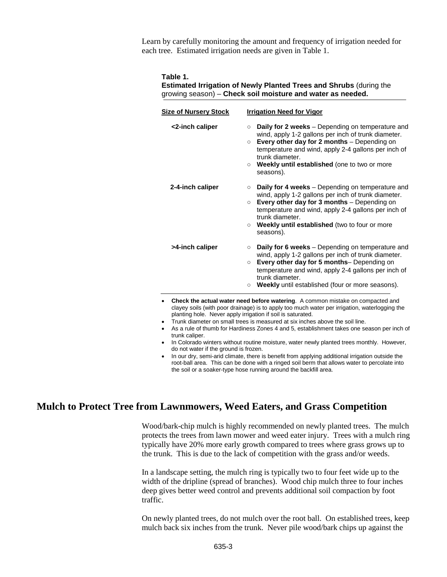Learn by carefully monitoring the amount and frequency of irrigation needed for each tree. Estimated irrigation needs are given in Table 1.

#### **Table 1.**

### **Estimated Irrigation of Newly Planted Trees and Shrubs** (during the growing season) – **Check soil moisture and water as needed.**

| <b>Size of Nursery Stock</b> | <b>Irrigation Need for Vigor</b>                                                                                                                                                                                                                                                                                                       |
|------------------------------|----------------------------------------------------------------------------------------------------------------------------------------------------------------------------------------------------------------------------------------------------------------------------------------------------------------------------------------|
| <2-inch caliper              | Daily for 2 weeks - Depending on temperature and<br>$\circ$<br>wind, apply 1-2 gallons per inch of trunk diameter.<br>Every other day for 2 months - Depending on<br>$\circ$<br>temperature and wind, apply 2-4 gallons per inch of<br>trunk diameter.<br><b>Weekly until established</b> (one to two or more<br>$\circ$<br>seasons).  |
| 2-4-inch caliper             | <b>Daily for 4 weeks</b> – Depending on temperature and<br>$\circ$<br>wind, apply 1-2 gallons per inch of trunk diameter.<br>Every other day for 3 months - Depending on<br>$\circ$<br>temperature and wind, apply 2-4 gallons per inch of<br>trunk diameter.<br>Weekly until established (two to four or more<br>$\circ$<br>seasons). |
| >4-inch caliper              | Daily for 6 weeks - Depending on temperature and<br>$\circ$<br>wind, apply 1-2 gallons per inch of trunk diameter.<br>Every other day for 5 months- Depending on<br>$\circ$<br>temperature and wind, apply 2-4 gallons per inch of<br>trunk diameter.<br>Weekly until established (four or more seasons).<br>$\circ$                   |

- Check the actual water need before watering. A common mist clayey soils (with poor drainage) is to apply too much water per irrigation, waterlogging the planting hole. Never apply irrigation if soil is saturated.
- Trunk diameter on small trees is measured at six inches above the soil line.
- As a rule of thumb for Hardiness Zones 4 and 5, establishment takes one season per inch of trunk caliper.
- In Colorado winters without routine moisture, water newly planted trees monthly. However, do not water if the ground is frozen.
- In our dry, semi-arid climate, there is benefit from applying additional irrigation outside the root-ball area. This can be done with a ringed soil berm that allows water to percolate into the soil or a soaker-type hose running around the backfill area.

## **Mulch to Protect Tree from Lawnmowers, Weed Eaters, and Grass Competition**

Wood/bark-chip mulch is highly recommended on newly planted trees. The mulch protects the trees from lawn mower and weed eater injury. Trees with a mulch ring typically have 20% more early growth compared to trees where grass grows up to the trunk. This is due to the lack of competition with the grass and/or weeds.

In a landscape setting, the mulch ring is typically two to four feet wide up to the width of the dripline (spread of branches). Wood chip mulch three to four inches deep gives better weed control and prevents additional soil compaction by foot traffic.

On newly planted trees, do not mulch over the root ball. On established trees, keep mulch back six inches from the trunk. Never pile wood/bark chips up against the